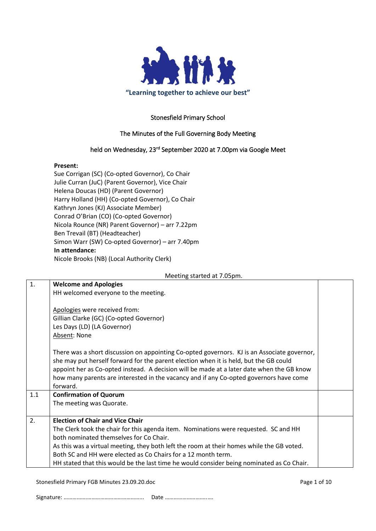

## Stonesfield Primary School

## The Minutes of the Full Governing Body Meeting

## held on Wednesday, 23<sup>rd</sup> September 2020 at 7.00pm via Google Meet

#### **Present:**

Sue Corrigan (SC) (Co-opted Governor), Co Chair Julie Curran (JuC) (Parent Governor), Vice Chair Helena Doucas (HD) (Parent Governor) Harry Holland (HH) (Co-opted Governor), Co Chair Kathryn Jones (KJ) Associate Member) Conrad O'Brian (CO) (Co-opted Governor) Nicola Rounce (NR) Parent Governor) – arr 7.22pm Ben Trevail (BT) (Headteacher) Simon Warr (SW) Co-opted Governor) – arr 7.40pm **In attendance:** Nicole Brooks (NB) (Local Authority Clerk)

Meeting started at 7.05pm.

| 1.                                                                                        | <b>Welcome and Apologies</b>                                                                |  |  |  |  |  |  |
|-------------------------------------------------------------------------------------------|---------------------------------------------------------------------------------------------|--|--|--|--|--|--|
|                                                                                           | HH welcomed everyone to the meeting.                                                        |  |  |  |  |  |  |
|                                                                                           |                                                                                             |  |  |  |  |  |  |
|                                                                                           | Apologies were received from:                                                               |  |  |  |  |  |  |
|                                                                                           | Gillian Clarke (GC) (Co-opted Governor)                                                     |  |  |  |  |  |  |
|                                                                                           | Les Days (LD) (LA Governor)                                                                 |  |  |  |  |  |  |
|                                                                                           | Absent: None                                                                                |  |  |  |  |  |  |
|                                                                                           |                                                                                             |  |  |  |  |  |  |
|                                                                                           | There was a short discussion on appointing Co-opted governors. KJ is an Associate governor, |  |  |  |  |  |  |
|                                                                                           | she may put herself forward for the parent election when it is held, but the GB could       |  |  |  |  |  |  |
| appoint her as Co-opted instead. A decision will be made at a later date when the GB know |                                                                                             |  |  |  |  |  |  |
|                                                                                           | how many parents are interested in the vacancy and if any Co-opted governors have come      |  |  |  |  |  |  |
|                                                                                           | forward.                                                                                    |  |  |  |  |  |  |
| 1.1                                                                                       | <b>Confirmation of Quorum</b>                                                               |  |  |  |  |  |  |
|                                                                                           | The meeting was Quorate.                                                                    |  |  |  |  |  |  |
|                                                                                           |                                                                                             |  |  |  |  |  |  |
| 2.                                                                                        | <b>Election of Chair and Vice Chair</b>                                                     |  |  |  |  |  |  |
|                                                                                           | The Clerk took the chair for this agenda item. Nominations were requested. SC and HH        |  |  |  |  |  |  |
|                                                                                           | both nominated themselves for Co Chair.                                                     |  |  |  |  |  |  |
| As this was a virtual meeting, they both left the room at their homes while the GB voted. |                                                                                             |  |  |  |  |  |  |
| Both SC and HH were elected as Co Chairs for a 12 month term.                             |                                                                                             |  |  |  |  |  |  |
|                                                                                           | HH stated that this would be the last time he would consider being nominated as Co Chair.   |  |  |  |  |  |  |

Stonesfield Primary FGB Minutes 23.09.20.doc Page 1 of 10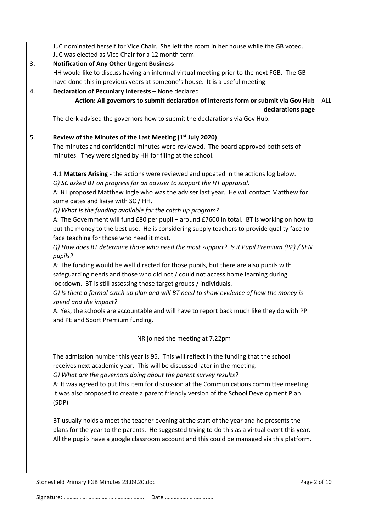|                                                                                     | JuC nominated herself for Vice Chair. She left the room in her house while the GB voted. |                                                                                                 |  |  |  |  |  |
|-------------------------------------------------------------------------------------|------------------------------------------------------------------------------------------|-------------------------------------------------------------------------------------------------|--|--|--|--|--|
|                                                                                     |                                                                                          | JuC was elected as Vice Chair for a 12 month term.                                              |  |  |  |  |  |
|                                                                                     | 3.                                                                                       | <b>Notification of Any Other Urgent Business</b>                                                |  |  |  |  |  |
|                                                                                     |                                                                                          | HH would like to discuss having an informal virtual meeting prior to the next FGB. The GB       |  |  |  |  |  |
|                                                                                     | have done this in previous years at someone's house. It is a useful meeting.             |                                                                                                 |  |  |  |  |  |
|                                                                                     | Declaration of Pecuniary Interests - None declared.<br>4.                                |                                                                                                 |  |  |  |  |  |
| Action: All governors to submit declaration of interests form or submit via Gov Hub |                                                                                          |                                                                                                 |  |  |  |  |  |
| declarations page                                                                   |                                                                                          |                                                                                                 |  |  |  |  |  |
|                                                                                     |                                                                                          | The clerk advised the governors how to submit the declarations via Gov Hub.                     |  |  |  |  |  |
|                                                                                     |                                                                                          |                                                                                                 |  |  |  |  |  |
|                                                                                     | 5.                                                                                       | Review of the Minutes of the Last Meeting (1 <sup>st</sup> July 2020)                           |  |  |  |  |  |
|                                                                                     |                                                                                          | The minutes and confidential minutes were reviewed. The board approved both sets of             |  |  |  |  |  |
|                                                                                     |                                                                                          | minutes. They were signed by HH for filing at the school.                                       |  |  |  |  |  |
|                                                                                     |                                                                                          |                                                                                                 |  |  |  |  |  |
|                                                                                     |                                                                                          | 4.1 Matters Arising - the actions were reviewed and updated in the actions log below.           |  |  |  |  |  |
|                                                                                     |                                                                                          | Q) SC asked BT on progress for an adviser to support the HT appraisal.                          |  |  |  |  |  |
|                                                                                     |                                                                                          | A: BT proposed Matthew Ingle who was the adviser last year. He will contact Matthew for         |  |  |  |  |  |
|                                                                                     |                                                                                          | some dates and liaise with SC / HH.                                                             |  |  |  |  |  |
|                                                                                     |                                                                                          | Q) What is the funding available for the catch up program?                                      |  |  |  |  |  |
|                                                                                     |                                                                                          | A: The Government will fund £80 per pupil - around £7600 in total. BT is working on how to      |  |  |  |  |  |
|                                                                                     |                                                                                          | put the money to the best use. He is considering supply teachers to provide quality face to     |  |  |  |  |  |
|                                                                                     |                                                                                          | face teaching for those who need it most.                                                       |  |  |  |  |  |
|                                                                                     |                                                                                          | Q) How does BT determine those who need the most support? Is it Pupil Premium (PP) / SEN        |  |  |  |  |  |
|                                                                                     |                                                                                          | pupils?                                                                                         |  |  |  |  |  |
|                                                                                     |                                                                                          | A: The funding would be well directed for those pupils, but there are also pupils with          |  |  |  |  |  |
|                                                                                     |                                                                                          | safeguarding needs and those who did not / could not access home learning during                |  |  |  |  |  |
|                                                                                     |                                                                                          | lockdown. BT is still assessing those target groups / individuals.                              |  |  |  |  |  |
|                                                                                     |                                                                                          | Q) Is there a formal catch up plan and will BT need to show evidence of how the money is        |  |  |  |  |  |
|                                                                                     |                                                                                          | spend and the impact?                                                                           |  |  |  |  |  |
|                                                                                     |                                                                                          | A: Yes, the schools are accountable and will have to report back much like they do with PP      |  |  |  |  |  |
|                                                                                     |                                                                                          | and PE and Sport Premium funding.                                                               |  |  |  |  |  |
|                                                                                     |                                                                                          |                                                                                                 |  |  |  |  |  |
|                                                                                     |                                                                                          | NR joined the meeting at 7.22pm                                                                 |  |  |  |  |  |
|                                                                                     |                                                                                          |                                                                                                 |  |  |  |  |  |
|                                                                                     |                                                                                          | The admission number this year is 95. This will reflect in the funding that the school          |  |  |  |  |  |
|                                                                                     |                                                                                          | receives next academic year. This will be discussed later in the meeting.                       |  |  |  |  |  |
|                                                                                     |                                                                                          | Q) What are the governors doing about the parent survey results?                                |  |  |  |  |  |
|                                                                                     |                                                                                          | A: It was agreed to put this item for discussion at the Communications committee meeting.       |  |  |  |  |  |
|                                                                                     |                                                                                          | It was also proposed to create a parent friendly version of the School Development Plan         |  |  |  |  |  |
|                                                                                     |                                                                                          | (SDP)                                                                                           |  |  |  |  |  |
|                                                                                     |                                                                                          |                                                                                                 |  |  |  |  |  |
|                                                                                     |                                                                                          | BT usually holds a meet the teacher evening at the start of the year and he presents the        |  |  |  |  |  |
|                                                                                     |                                                                                          | plans for the year to the parents. He suggested trying to do this as a virtual event this year. |  |  |  |  |  |
|                                                                                     |                                                                                          | All the pupils have a google classroom account and this could be managed via this platform.     |  |  |  |  |  |
|                                                                                     |                                                                                          |                                                                                                 |  |  |  |  |  |
|                                                                                     |                                                                                          |                                                                                                 |  |  |  |  |  |
|                                                                                     |                                                                                          |                                                                                                 |  |  |  |  |  |

Stonesfield Primary FGB Minutes 23.09.20.doc Page 2 of 10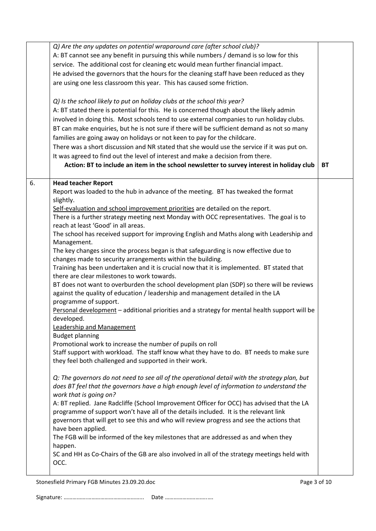|    | Q) Are the any updates on potential wraparound care (after school club)?<br>A: BT cannot see any benefit in pursuing this while numbers / demand is so low for this<br>service. The additional cost for cleaning etc would mean further financial impact.<br>He advised the governors that the hours for the cleaning staff have been reduced as they<br>are using one less classroom this year. This has caused some friction.<br>Q) Is the school likely to put on holiday clubs at the school this year?<br>A: BT stated there is potential for this. He is concerned though about the likely admin<br>involved in doing this. Most schools tend to use external companies to run holiday clubs.<br>BT can make enquiries, but he is not sure if there will be sufficient demand as not so many<br>families are going away on holidays or not keen to pay for the childcare.<br>There was a short discussion and NR stated that she would use the service if it was put on.<br>It was agreed to find out the level of interest and make a decision from there.<br>Action: BT to include an item in the school newsletter to survey interest in holiday club                                                                                                                                                                                                                                                                                                                                                                                                                                                                                                                                                                                                                                                                                                                                                                                                                                                                                                                                            | <b>BT</b> |
|----|-----------------------------------------------------------------------------------------------------------------------------------------------------------------------------------------------------------------------------------------------------------------------------------------------------------------------------------------------------------------------------------------------------------------------------------------------------------------------------------------------------------------------------------------------------------------------------------------------------------------------------------------------------------------------------------------------------------------------------------------------------------------------------------------------------------------------------------------------------------------------------------------------------------------------------------------------------------------------------------------------------------------------------------------------------------------------------------------------------------------------------------------------------------------------------------------------------------------------------------------------------------------------------------------------------------------------------------------------------------------------------------------------------------------------------------------------------------------------------------------------------------------------------------------------------------------------------------------------------------------------------------------------------------------------------------------------------------------------------------------------------------------------------------------------------------------------------------------------------------------------------------------------------------------------------------------------------------------------------------------------------------------------------------------------------------------------------------------------------------|-----------|
| 6. | <b>Head teacher Report</b><br>Report was loaded to the hub in advance of the meeting. BT has tweaked the format<br>slightly.<br>Self-evaluation and school improvement priorities are detailed on the report.<br>There is a further strategy meeting next Monday with OCC representatives. The goal is to<br>reach at least 'Good' in all areas.<br>The school has received support for improving English and Maths along with Leadership and<br>Management.<br>The key changes since the process began is that safeguarding is now effective due to<br>changes made to security arrangements within the building.<br>Training has been undertaken and it is crucial now that it is implemented. BT stated that<br>there are clear milestones to work towards.<br>BT does not want to overburden the school development plan (SDP) so there will be reviews<br>against the quality of education / leadership and management detailed in the LA<br>programme of support.<br>Personal development - additional priorities and a strategy for mental health support will be<br>developed.<br>Leadership and Management<br><b>Budget planning</b><br>Promotional work to increase the number of pupils on roll<br>Staff support with workload. The staff know what they have to do. BT needs to make sure<br>they feel both challenged and supported in their work.<br>Q: The governors do not need to see all of the operational detail with the strategy plan, but<br>does BT feel that the governors have a high enough level of information to understand the<br>work that is going on?<br>A: BT replied. Jane Radcliffe (School Improvement Officer for OCC) has advised that the LA<br>programme of support won't have all of the details included. It is the relevant link<br>governors that will get to see this and who will review progress and see the actions that<br>have been applied.<br>The FGB will be informed of the key milestones that are addressed as and when they<br>happen.<br>SC and HH as Co-Chairs of the GB are also involved in all of the strategy meetings held with<br>OCC. |           |

Stonesfield Primary FGB Minutes 23.09.20.doc Page 3 of 10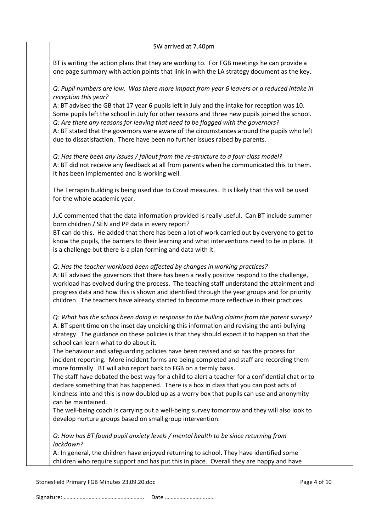#### SW arrived at 7.40pm

BT is writing the action plans that they are working to. For FGB meetings he can provide a one page summary with action points that link in with the LA strategy document as the key.

*Q: Pupil numbers are low. Was there more impact from year 6 leavers or a reduced intake in reception this year?*

A: BT advised the GB that 17 year 6 pupils left in July and the intake for reception was 10. Some pupils left the school in July for other reasons and three new pupils joined the school. *Q: Are there any reasons for leaving that need to be flagged with the governors?* A: BT stated that the governors were aware of the circumstances around the pupils who left due to dissatisfaction. There have been no further issues raised by parents.

*Q: Has there been any issues / fallout from the re-structure to a four-class model?* A: BT did not receive any feedback at all from parents when he communicated this to them. It has been implemented and is working well.

The Terrapin building is being used due to Covid measures. It is likely that this will be used for the whole academic year.

JuC commented that the data information provided is really useful. Can BT include summer born children / SEN and PP data in every report?

BT can do this. He added that there has been a lot of work carried out by everyone to get to know the pupils, the barriers to their learning and what interventions need to be in place. It is a challenge but there is a plan forming and data with it.

#### *Q: Has the teacher workload been affected by changes in working practices?*

A: BT advised the governors that there has been a really positive respond to the challenge, workload has evolved during the process. The teaching staff understand the attainment and progress data and how this is shown and identified through the year groups and for priority children. The teachers have already started to become more reflective in their practices.

*Q: What has the school been doing in response to the bulling claims from the parent survey?* A: BT spent time on the inset day unpicking this information and revising the anti-bullying strategy. The guidance on these policies is that they should expect it to happen so that the school can learn what to do about it.

The behaviour and safeguarding policies have been revised and so has the process for incident reporting. More incident forms are being completed and staff are recording them more formally. BT will also report back to FGB on a termly basis.

The staff have debated the best way for a child to alert a teacher for a confidential chat or to declare something that has happened. There is a box in class that you can post acts of kindness into and this is now doubled up as a worry box that pupils can use and anonymity can be maintained.

The well-being coach is carrying out a well-being survey tomorrow and they will also look to develop nurture groups based on small group intervention.

*Q: How has BT found pupil anxiety levels / mental health to be since returning from lockdown?*

A: In general, the children have enjoyed returning to school. They have identified some children who require support and has put this in place. Overall they are happy and have

Stonesfield Primary FGB Minutes 23.09.20.doc **Page 4 of 10** Page 4 of 10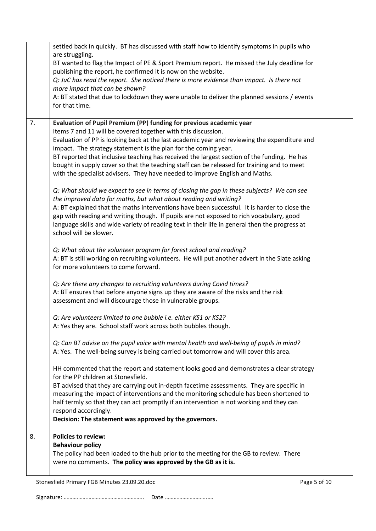|    | settled back in quickly. BT has discussed with staff how to identify symptoms in pupils who<br>are struggling.<br>BT wanted to flag the Impact of PE & Sport Premium report. He missed the July deadline for<br>publishing the report, he confirmed it is now on the website.<br>Q: JuC has read the report. She noticed there is more evidence than impact. Is there not<br>more impact that can be shown?<br>A: BT stated that due to lockdown they were unable to deliver the planned sessions / events<br>for that time.                                                         |  |
|----|--------------------------------------------------------------------------------------------------------------------------------------------------------------------------------------------------------------------------------------------------------------------------------------------------------------------------------------------------------------------------------------------------------------------------------------------------------------------------------------------------------------------------------------------------------------------------------------|--|
| 7. | Evaluation of Pupil Premium (PP) funding for previous academic year<br>Items 7 and 11 will be covered together with this discussion.<br>Evaluation of PP is looking back at the last academic year and reviewing the expenditure and<br>impact. The strategy statement is the plan for the coming year.<br>BT reported that inclusive teaching has received the largest section of the funding. He has<br>bought in supply cover so that the teaching staff can be released for training and to meet<br>with the specialist advisers. They have needed to improve English and Maths. |  |
|    | Q: What should we expect to see in terms of closing the gap in these subjects? We can see<br>the improved data for maths, but what about reading and writing?<br>A: BT explained that the maths interventions have been successful. It is harder to close the<br>gap with reading and writing though. If pupils are not exposed to rich vocabulary, good<br>language skills and wide variety of reading text in their life in general then the progress at<br>school will be slower.                                                                                                 |  |
|    | Q: What about the volunteer program for forest school and reading?<br>A: BT is still working on recruiting volunteers. He will put another advert in the Slate asking<br>for more volunteers to come forward.                                                                                                                                                                                                                                                                                                                                                                        |  |
|    | Q: Are there any changes to recruiting volunteers during Covid times?<br>A: BT ensures that before anyone signs up they are aware of the risks and the risk<br>assessment and will discourage those in vulnerable groups.                                                                                                                                                                                                                                                                                                                                                            |  |
|    | Q: Are volunteers limited to one bubble i.e. either KS1 or KS2?<br>A: Yes they are. School staff work across both bubbles though.                                                                                                                                                                                                                                                                                                                                                                                                                                                    |  |
|    | Q: Can BT advise on the pupil voice with mental health and well-being of pupils in mind?<br>A: Yes. The well-being survey is being carried out tomorrow and will cover this area.                                                                                                                                                                                                                                                                                                                                                                                                    |  |
|    | HH commented that the report and statement looks good and demonstrates a clear strategy<br>for the PP children at Stonesfield.<br>BT advised that they are carrying out in-depth facetime assessments. They are specific in                                                                                                                                                                                                                                                                                                                                                          |  |
|    | measuring the impact of interventions and the monitoring schedule has been shortened to<br>half termly so that they can act promptly if an intervention is not working and they can<br>respond accordingly.<br>Decision: The statement was approved by the governors.                                                                                                                                                                                                                                                                                                                |  |
| 8. | <b>Policies to review:</b><br><b>Behaviour policy</b><br>The policy had been loaded to the hub prior to the meeting for the GB to review. There<br>were no comments. The policy was approved by the GB as it is.                                                                                                                                                                                                                                                                                                                                                                     |  |

Stonesfield Primary FGB Minutes 23.09.20.doc example 3 and 20 years of 10 Page 5 of 10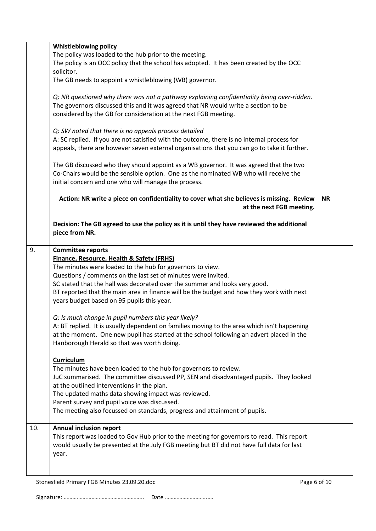|     | <b>Whistleblowing policy</b>                                                                                               |           |  |  |  |
|-----|----------------------------------------------------------------------------------------------------------------------------|-----------|--|--|--|
|     |                                                                                                                            |           |  |  |  |
|     |                                                                                                                            |           |  |  |  |
|     |                                                                                                                            |           |  |  |  |
|     |                                                                                                                            |           |  |  |  |
|     | The GB needs to appoint a whistleblowing (WB) governor.                                                                    |           |  |  |  |
|     | Q: NR questioned why there was not a pathway explaining confidentiality being over-ridden.                                 |           |  |  |  |
|     | The governors discussed this and it was agreed that NR would write a section to be                                         |           |  |  |  |
|     | considered by the GB for consideration at the next FGB meeting.                                                            |           |  |  |  |
|     |                                                                                                                            |           |  |  |  |
|     | Q: SW noted that there is no appeals process detailed                                                                      |           |  |  |  |
|     | A: SC replied. If you are not satisfied with the outcome, there is no internal process for                                 |           |  |  |  |
|     | appeals, there are however seven external organisations that you can go to take it further.                                |           |  |  |  |
|     |                                                                                                                            |           |  |  |  |
|     | The GB discussed who they should appoint as a WB governor. It was agreed that the two                                      |           |  |  |  |
|     | Co-Chairs would be the sensible option. One as the nominated WB who will receive the                                       |           |  |  |  |
|     | initial concern and one who will manage the process.                                                                       |           |  |  |  |
|     |                                                                                                                            |           |  |  |  |
|     | Action: NR write a piece on confidentiality to cover what she believes is missing. Review                                  | <b>NR</b> |  |  |  |
|     | at the next FGB meeting.                                                                                                   |           |  |  |  |
|     |                                                                                                                            |           |  |  |  |
|     | Decision: The GB agreed to use the policy as it is until they have reviewed the additional                                 |           |  |  |  |
|     | piece from NR.                                                                                                             |           |  |  |  |
|     |                                                                                                                            |           |  |  |  |
| 9.  | <b>Committee reports</b>                                                                                                   |           |  |  |  |
|     |                                                                                                                            |           |  |  |  |
|     |                                                                                                                            |           |  |  |  |
|     | The minutes were loaded to the hub for governors to view.<br>Questions / comments on the last set of minutes were invited. |           |  |  |  |
|     | SC stated that the hall was decorated over the summer and looks very good.                                                 |           |  |  |  |
|     | BT reported that the main area in finance will be the budget and how they work with next                                   |           |  |  |  |
|     | years budget based on 95 pupils this year.                                                                                 |           |  |  |  |
|     |                                                                                                                            |           |  |  |  |
|     | Q: Is much change in pupil numbers this year likely?                                                                       |           |  |  |  |
|     | A: BT replied. It is usually dependent on families moving to the area which isn't happening                                |           |  |  |  |
|     | at the moment. One new pupil has started at the school following an advert placed in the                                   |           |  |  |  |
|     | Hanborough Herald so that was worth doing.                                                                                 |           |  |  |  |
|     |                                                                                                                            |           |  |  |  |
|     | <b>Curriculum</b>                                                                                                          |           |  |  |  |
|     | The minutes have been loaded to the hub for governors to review.                                                           |           |  |  |  |
|     | JuC summarised. The committee discussed PP, SEN and disadvantaged pupils. They looked                                      |           |  |  |  |
|     | at the outlined interventions in the plan.                                                                                 |           |  |  |  |
|     | The updated maths data showing impact was reviewed.                                                                        |           |  |  |  |
|     | Parent survey and pupil voice was discussed.                                                                               |           |  |  |  |
|     | The meeting also focussed on standards, progress and attainment of pupils.                                                 |           |  |  |  |
|     |                                                                                                                            |           |  |  |  |
| 10. | <b>Annual inclusion report</b>                                                                                             |           |  |  |  |
|     | This report was loaded to Gov Hub prior to the meeting for governors to read. This report                                  |           |  |  |  |
|     | would usually be presented at the July FGB meeting but BT did not have full data for last                                  |           |  |  |  |
|     | year.                                                                                                                      |           |  |  |  |
|     |                                                                                                                            |           |  |  |  |
|     |                                                                                                                            |           |  |  |  |
|     |                                                                                                                            |           |  |  |  |

Stonesfield Primary FGB Minutes 23.09.20.doc extends the page 6 of 10 Page 6 of 10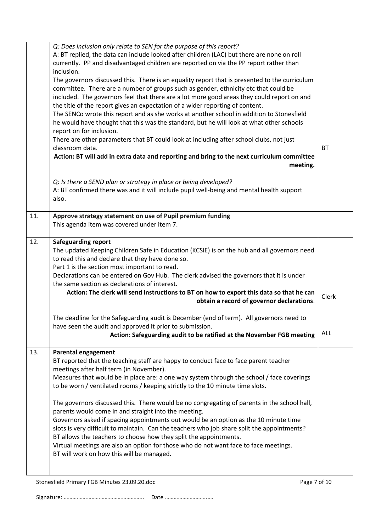|     | Q: Does inclusion only relate to SEN for the purpose of this report?                                                                                                       |              |
|-----|----------------------------------------------------------------------------------------------------------------------------------------------------------------------------|--------------|
|     | A: BT replied, the data can include looked after children (LAC) but there are none on roll                                                                                 |              |
|     | currently. PP and disadvantaged children are reported on via the PP report rather than                                                                                     |              |
|     | inclusion.                                                                                                                                                                 |              |
|     | The governors discussed this. There is an equality report that is presented to the curriculum                                                                              |              |
|     | committee. There are a number of groups such as gender, ethnicity etc that could be                                                                                        |              |
|     | included. The governors feel that there are a lot more good areas they could report on and                                                                                 |              |
|     | the title of the report gives an expectation of a wider reporting of content.                                                                                              |              |
|     | The SENCo wrote this report and as she works at another school in addition to Stonesfield                                                                                  |              |
|     | he would have thought that this was the standard, but he will look at what other schools                                                                                   |              |
|     | report on for inclusion.                                                                                                                                                   |              |
|     | There are other parameters that BT could look at including after school clubs, not just                                                                                    |              |
|     | classroom data.                                                                                                                                                            | <b>BT</b>    |
|     | Action: BT will add in extra data and reporting and bring to the next curriculum committee                                                                                 |              |
|     | meeting.                                                                                                                                                                   |              |
|     |                                                                                                                                                                            |              |
|     | Q: Is there a SEND plan or strategy in place or being developed?                                                                                                           |              |
|     | A: BT confirmed there was and it will include pupil well-being and mental health support                                                                                   |              |
|     | also.                                                                                                                                                                      |              |
|     |                                                                                                                                                                            |              |
| 11. | Approve strategy statement on use of Pupil premium funding                                                                                                                 |              |
|     | This agenda item was covered under item 7.                                                                                                                                 |              |
|     |                                                                                                                                                                            |              |
| 12. | <b>Safeguarding report</b>                                                                                                                                                 |              |
|     | The updated Keeping Children Safe in Education (KCSIE) is on the hub and all governors need                                                                                |              |
|     | to read this and declare that they have done so.                                                                                                                           |              |
|     | Part 1 is the section most important to read.                                                                                                                              |              |
|     | Declarations can be entered on Gov Hub. The clerk advised the governors that it is under                                                                                   |              |
|     | the same section as declarations of interest.                                                                                                                              |              |
|     | Action: The clerk will send instructions to BT on how to export this data so that he can                                                                                   |              |
|     | obtain a record of governor declarations.                                                                                                                                  | Clerk        |
|     |                                                                                                                                                                            |              |
|     | The deadline for the Safeguarding audit is December (end of term). All governors need to                                                                                   |              |
|     | have seen the audit and approved it prior to submission.                                                                                                                   |              |
|     | Action: Safeguarding audit to be ratified at the November FGB meeting                                                                                                      | ALL.         |
| 13. | <b>Parental engagement</b>                                                                                                                                                 |              |
|     | BT reported that the teaching staff are happy to conduct face to face parent teacher                                                                                       |              |
|     | meetings after half term (in November).                                                                                                                                    |              |
|     |                                                                                                                                                                            |              |
|     | Measures that would be in place are: a one way system through the school / face coverings<br>to be worn / ventilated rooms / keeping strictly to the 10 minute time slots. |              |
|     |                                                                                                                                                                            |              |
|     | The governors discussed this. There would be no congregating of parents in the school hall,                                                                                |              |
|     | parents would come in and straight into the meeting.                                                                                                                       |              |
|     | Governors asked if spacing appointments out would be an option as the 10 minute time                                                                                       |              |
|     | slots is very difficult to maintain. Can the teachers who job share split the appointments?                                                                                |              |
|     | BT allows the teachers to choose how they split the appointments.                                                                                                          |              |
|     | Virtual meetings are also an option for those who do not want face to face meetings.                                                                                       |              |
|     | BT will work on how this will be managed.                                                                                                                                  |              |
|     |                                                                                                                                                                            |              |
|     |                                                                                                                                                                            |              |
|     | Stonesfield Primary FGB Minutes 23.09.20.doc                                                                                                                               | Page 7 of 10 |
|     |                                                                                                                                                                            |              |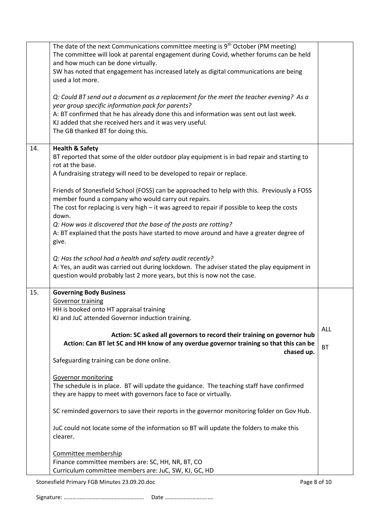|     | The date of the next Communications committee meeting is 9 <sup>th</sup> October (PM meeting)<br>The committee will look at parental engagement during Covid, whether forums can be held<br>and how much can be done virtually.<br>SW has noted that engagement has increased lately as digital communications are being<br>used a lot more. |                         |
|-----|----------------------------------------------------------------------------------------------------------------------------------------------------------------------------------------------------------------------------------------------------------------------------------------------------------------------------------------------|-------------------------|
|     | Q: Could BT send out a document as a replacement for the meet the teacher evening? As a<br>year group specific information pack for parents?<br>A: BT confirmed that he has already done this and information was sent out last week.                                                                                                        |                         |
|     | KJ added that she received hers and it was very useful.<br>The GB thanked BT for doing this.                                                                                                                                                                                                                                                 |                         |
| 14. | <b>Health &amp; Safety</b><br>BT reported that some of the older outdoor play equipment is in bad repair and starting to<br>rot at the base.<br>A fundraising strategy will need to be developed to repair or replace.                                                                                                                       |                         |
|     | Friends of Stonesfield School (FOSS) can be approached to help with this. Previously a FOSS<br>member found a company who would carry out repairs.<br>The cost for replacing is very high $-$ it was agreed to repair if possible to keep the costs                                                                                          |                         |
|     | down.<br>Q: How was it discovered that the base of the posts are rotting?<br>A: BT explained that the posts have started to move around and have a greater degree of<br>give.                                                                                                                                                                |                         |
|     | Q: Has the school had a health and safety audit recently?<br>A: Yes, an audit was carried out during lockdown. The adviser stated the play equipment in<br>question would probably last 2 more years, but this is now not the case.                                                                                                          |                         |
| 15. | <b>Governing Body Business</b>                                                                                                                                                                                                                                                                                                               |                         |
|     | <b>Governor training</b><br>HH is booked onto HT appraisal training                                                                                                                                                                                                                                                                          |                         |
|     | KJ and JuC attended Governor induction training.                                                                                                                                                                                                                                                                                             |                         |
|     | Action: SC asked all governors to record their training on governor hub<br>Action: Can BT let SC and HH know of any overdue governor training so that this can be<br>chased up.                                                                                                                                                              | <b>ALL</b><br><b>BT</b> |
|     | Safeguarding training can be done online.                                                                                                                                                                                                                                                                                                    |                         |
|     | <b>Governor monitoring</b><br>The schedule is in place. BT will update the guidance. The teaching staff have confirmed<br>they are happy to meet with governors face to face or virtually.                                                                                                                                                   |                         |
|     | SC reminded governors to save their reports in the governor monitoring folder on Gov Hub.                                                                                                                                                                                                                                                    |                         |
|     | JuC could not locate some of the information so BT will update the folders to make this<br>clearer.                                                                                                                                                                                                                                          |                         |
|     | Committee membership                                                                                                                                                                                                                                                                                                                         |                         |
|     | Finance committee members are: SC, HH, NR, BT, CO                                                                                                                                                                                                                                                                                            |                         |
|     | Curriculum committee members are: JuC, SW, KJ, GC, HD                                                                                                                                                                                                                                                                                        |                         |
|     | Stonesfield Primary FGB Minutes 23.09.20.doc<br>Page 8 of 10                                                                                                                                                                                                                                                                                 |                         |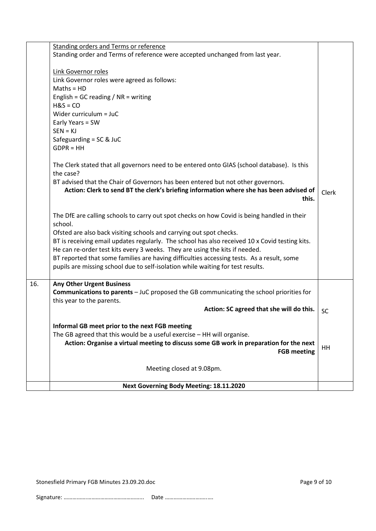|     | Next Governing Body Meeting: 18.11.2020                                                                                                                                                                                                                                                                                                                                                                                                                                                                                                                                                                                                                                                                                                                                                                                                                                                        |              |
|-----|------------------------------------------------------------------------------------------------------------------------------------------------------------------------------------------------------------------------------------------------------------------------------------------------------------------------------------------------------------------------------------------------------------------------------------------------------------------------------------------------------------------------------------------------------------------------------------------------------------------------------------------------------------------------------------------------------------------------------------------------------------------------------------------------------------------------------------------------------------------------------------------------|--------------|
|     | Meeting closed at 9.08pm.                                                                                                                                                                                                                                                                                                                                                                                                                                                                                                                                                                                                                                                                                                                                                                                                                                                                      |              |
|     | Informal GB meet prior to the next FGB meeting<br>The GB agreed that this would be a useful exercise - HH will organise.<br>Action: Organise a virtual meeting to discuss some GB work in preparation for the next<br><b>FGB meeting</b>                                                                                                                                                                                                                                                                                                                                                                                                                                                                                                                                                                                                                                                       | <b>HH</b>    |
|     | Action: SC agreed that she will do this.                                                                                                                                                                                                                                                                                                                                                                                                                                                                                                                                                                                                                                                                                                                                                                                                                                                       | <b>SC</b>    |
| 16. | <b>Any Other Urgent Business</b><br><b>Communications to parents</b> - JuC proposed the GB communicating the school priorities for<br>this year to the parents.                                                                                                                                                                                                                                                                                                                                                                                                                                                                                                                                                                                                                                                                                                                                |              |
|     | Safeguarding = $SC &$ JuC<br>$GDPR = HH$<br>The Clerk stated that all governors need to be entered onto GIAS (school database). Is this<br>the case?<br>BT advised that the Chair of Governors has been entered but not other governors.<br>Action: Clerk to send BT the clerk's briefing information where she has been advised of<br>this.<br>The DfE are calling schools to carry out spot checks on how Covid is being handled in their<br>school.<br>Ofsted are also back visiting schools and carrying out spot checks.<br>BT is receiving email updates regularly. The school has also received 10 x Covid testing kits.<br>He can re-order test kits every 3 weeks. They are using the kits if needed.<br>BT reported that some families are having difficulties accessing tests. As a result, some<br>pupils are missing school due to self-isolation while waiting for test results. | <b>Clerk</b> |
|     | Standing order and Terms of reference were accepted unchanged from last year.<br>Link Governor roles<br>Link Governor roles were agreed as follows:<br>$Maths = HD$<br>English = GC reading $/$ NR = writing<br>$H&S = CO$<br>Wider curriculum = JuC<br>Early Years = SW<br>$SEN = KJ$                                                                                                                                                                                                                                                                                                                                                                                                                                                                                                                                                                                                         |              |
|     | <b>Standing orders and Terms or reference</b>                                                                                                                                                                                                                                                                                                                                                                                                                                                                                                                                                                                                                                                                                                                                                                                                                                                  |              |

Stonesfield Primary FGB Minutes 23.09.20.doc Page 9 of 10